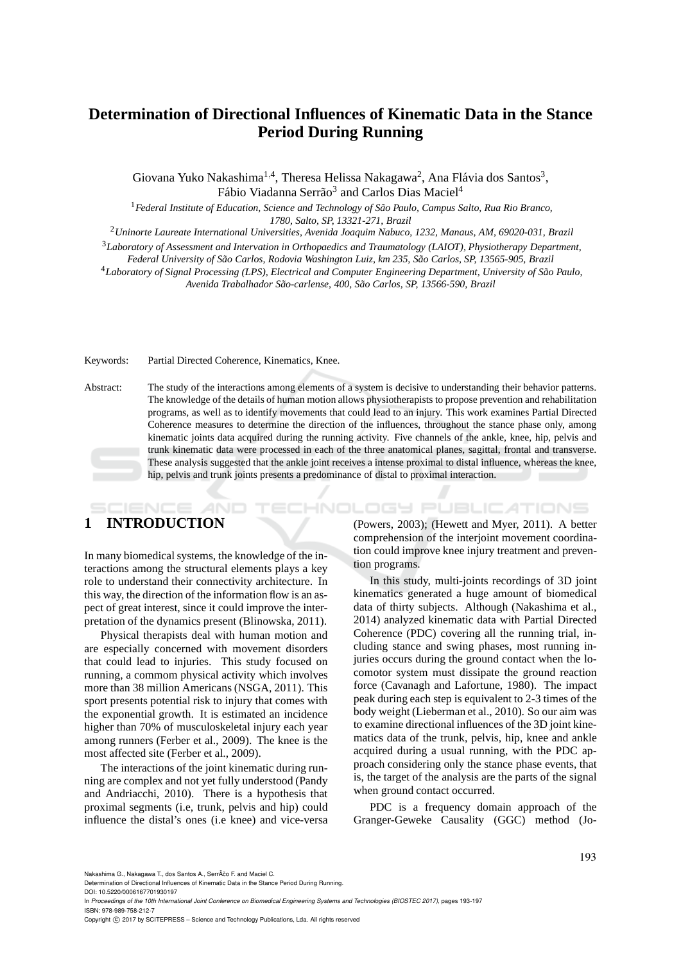# **Determination of Directional Influences of Kinematic Data in the Stance Period During Running**

Giovana Yuko Nakashima<sup>1,4</sup>, Theresa Helissa Nakagawa<sup>2</sup>, Ana Flávia dos Santos<sup>3</sup>, Fábio Viadanna Serrão<sup>3</sup> and Carlos Dias Maciel<sup>4</sup>

<sup>1</sup>*Federal Institute of Education, Science and Technology of S˜ao Paulo, Campus Salto, Rua Rio Branco, 1780, Salto, SP, 13321-271, Brazil*

<sup>2</sup>*Uninorte Laureate International Universities, Avenida Joaquim Nabuco, 1232, Manaus, AM, 69020-031, Brazil*

<sup>3</sup>*Laboratory of Assessment and Intervation in Orthopaedics and Traumatology (LAIOT), Physiotherapy Department,*

*Federal University of S˜ao Carlos, Rodovia Washington Luiz, km 235, S˜ao Carlos, SP, 13565-905, Brazil*

<sup>4</sup>*Laboratory of Signal Processing (LPS), Electrical and Computer Engineering Department, University of S˜ao Paulo, Avenida Trabalhador S˜ao-carlense, 400, S˜ao Carlos, SP, 13566-590, Brazil*

Keywords: Partial Directed Coherence, Kinematics, Knee.

Abstract: The study of the interactions among elements of a system is decisive to understanding their behavior patterns. The knowledge of the details of human motion allows physiotherapists to propose prevention and rehabilitation programs, as well as to identify movements that could lead to an injury. This work examines Partial Directed Coherence measures to determine the direction of the influences, throughout the stance phase only, among kinematic joints data acquired during the running activity. Five channels of the ankle, knee, hip, pelvis and trunk kinematic data were processed in each of the three anatomical planes, sagittal, frontal and transverse. These analysis suggested that the ankle joint receives a intense proximal to distal influence, whereas the knee, hip, pelvis and trunk joints presents a predominance of distal to proximal interaction.

# **1 INTRODUCTION**

SCIENCE *A*ND

In many biomedical systems, the knowledge of the interactions among the structural elements plays a key role to understand their connectivity architecture. In this way, the direction of the information flow is an aspect of great interest, since it could improve the interpretation of the dynamics present (Blinowska, 2011).

Physical therapists deal with human motion and are especially concerned with movement disorders that could lead to injuries. This study focused on running, a commom physical activity which involves more than 38 million Americans (NSGA, 2011). This sport presents potential risk to injury that comes with the exponential growth. It is estimated an incidence higher than 70% of musculoskeletal injury each year among runners (Ferber et al., 2009). The knee is the most affected site (Ferber et al., 2009).

The interactions of the joint kinematic during running are complex and not yet fully understood (Pandy and Andriacchi, 2010). There is a hypothesis that proximal segments (i.e, trunk, pelvis and hip) could influence the distal's ones (i.e knee) and vice-versa

(Powers, 2003); (Hewett and Myer, 2011). A better comprehension of the interjoint movement coordination could improve knee injury treatment and prevention programs.

**IHNOLOGY PUBLICATIONS** 

In this study, multi-joints recordings of 3D joint kinematics generated a huge amount of biomedical data of thirty subjects. Although (Nakashima et al., 2014) analyzed kinematic data with Partial Directed Coherence (PDC) covering all the running trial, including stance and swing phases, most running injuries occurs during the ground contact when the locomotor system must dissipate the ground reaction force (Cavanagh and Lafortune, 1980). The impact peak during each step is equivalent to 2-3 times of the body weight (Lieberman et al., 2010). So our aim was to examine directional influences of the 3D joint kinematics data of the trunk, pelvis, hip, knee and ankle acquired during a usual running, with the PDC approach considering only the stance phase events, that is, the target of the analysis are the parts of the signal when ground contact occurred.

PDC is a frequency domain approach of the Granger-Geweke Causality (GGC) method (Jo-

Nakashima G., Nakagawa T., dos Santos A., SerrÃčo E. and Maciel C.

DOI: 10.5220/0006167701930197

In *Proceedings of the 10th International Joint Conference on Biomedical Engineering Systems and Technologies (BIOSTEC 2017)*, pages 193-197 ISBN: 978-989-758-212-7

Copyright © 2017 by SCITEPRESS - Science and Technology Publications, Lda. All rights reserved

Determination of Directional Influences of Kinematic Data in the Stance Period During Running.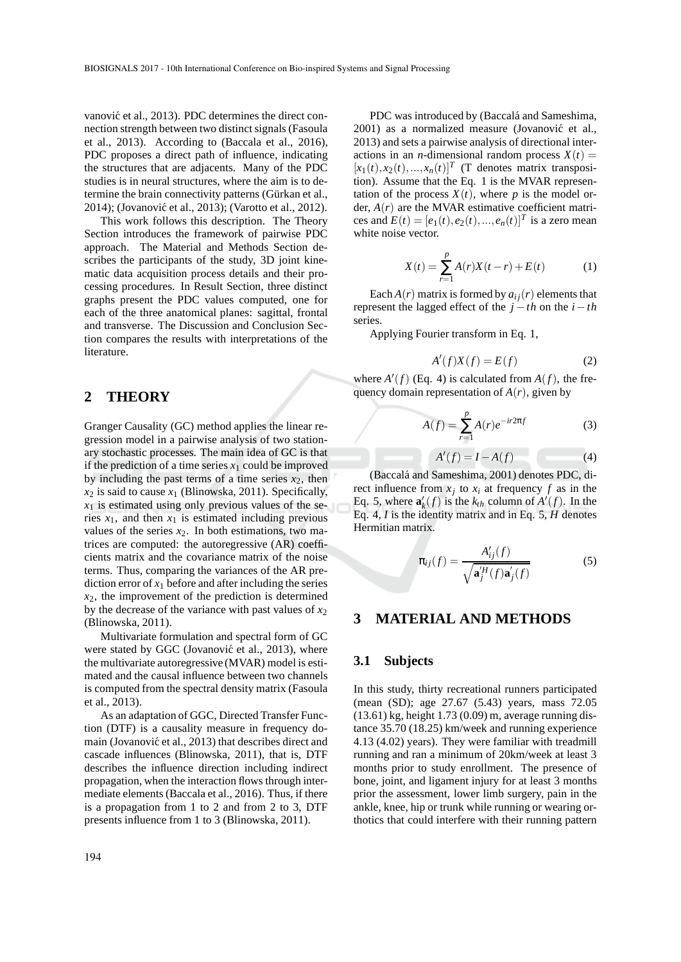vanović et al., 2013). PDC determines the direct connection strength between two distinct signals (Fasoula et al., 2013). According to (Baccala et al., 2016), PDC proposes a direct path of influence, indicating the structures that are adjacents. Many of the PDC studies is in neural structures, where the aim is to determine the brain connectivity patterns (Gürkan et al., 2014); (Jovanović et al., 2013); (Varotto et al., 2012).

This work follows this description. The Theory Section introduces the framework of pairwise PDC approach. The Material and Methods Section describes the participants of the study, 3D joint kinematic data acquisition process details and their processing procedures. In Result Section, three distinct graphs present the PDC values computed, one for each of the three anatomical planes: sagittal, frontal and transverse. The Discussion and Conclusion Section compares the results with interpretations of the literature.

### **2 THEORY**

Granger Causality (GC) method applies the linear regression model in a pairwise analysis of two stationary stochastic processes. The main idea of GC is that if the prediction of a time series  $x_1$  could be improved by including the past terms of a time series  $x_2$ , then  $x_2$  is said to cause  $x_1$  (Blinowska, 2011). Specifically,  $x_1$  is estimated using only previous values of the series  $x_1$ , and then  $x_1$  is estimated including previous values of the series  $x_2$ . In both estimations, two matrices are computed: the autoregressive (AR) coefficients matrix and the covariance matrix of the noise terms. Thus, comparing the variances of the AR prediction error of  $x_1$  before and after including the series  $x_2$ , the improvement of the prediction is determined by the decrease of the variance with past values of  $x_2$ (Blinowska, 2011).

Multivariate formulation and spectral form of GC were stated by GGC (Jovanović et al., 2013), where the multivariate autoregressive (MVAR) model is estimated and the causal influence between two channels is computed from the spectral density matrix (Fasoula et al., 2013).

As an adaptation of GGC, Directed Transfer Function (DTF) is a causality measure in frequency domain (Jovanović et al., 2013) that describes direct and cascade influences (Blinowska, 2011), that is, DTF describes the influence direction including indirect propagation, when the interaction flows through intermediate elements (Baccala et al., 2016). Thus, if there is a propagation from 1 to 2 and from 2 to 3, DTF presents influence from 1 to 3 (Blinowska, 2011).

PDC was introduced by (Baccalá and Sameshima, 2001) as a normalized measure (Jovanović et al., 2013) and sets a pairwise analysis of directional interactions in an *n*-dimensional random process  $X(t) =$  $[x_1(t), x_2(t), ..., x_n(t)]^T$  (T denotes matrix transposition). Assume that the Eq. 1 is the MVAR representation of the process  $X(t)$ , where *p* is the model order,  $A(r)$  are the MVAR estimative coefficient matrices and  $E(t) = [e_1(t), e_2(t), ..., e_n(t)]^T$  is a zero mean white noise vector.

$$
X(t) = \sum_{r=1}^{p} A(r)X(t-r) + E(t)
$$
 (1)

Each  $A(r)$  matrix is formed by  $a_{ij}(r)$  elements that represent the lagged effect of the  $j - th$  on the  $i - th$ series.

Applying Fourier transform in Eq. 1,

$$
A'(f)X(f) = E(f) \tag{2}
$$

where  $A'(f)$  (Eq. 4) is calculated from  $A(f)$ , the frequency domain representation of  $A(r)$ , given by

$$
A(f) = \sum_{r=1}^{p} A(r)e^{-ir2\pi f}
$$
 (3)

$$
A'(f) = I - A(f) \tag{4}
$$

(Baccalá and Sameshima, 2001) denotes PDC, direct influence from  $x_j$  to  $x_i$  at frequency  $f$  as in the Eq. 5, where  $\mathbf{a}'_k(f)$  is the  $k_{th}$  column of  $A'(f)$ . In the Eq. 4, *I* is the identity matrix and in Eq. 5, *H* denotes Hermitian matrix.

$$
\pi_{ij}(f) = \frac{A'_{ij}(f)}{\sqrt{\mathbf{a}'^H_j(f)\mathbf{a}'_j(f)}}
$$
(5)

### **3 MATERIAL AND METHODS**

#### **3.1 Subjects**

In this study, thirty recreational runners participated (mean (SD); age 27.67 (5.43) years, mass 72.05 (13.61) kg, height 1.73 (0.09) m, average running distance 35.70 (18.25) km/week and running experience 4.13 (4.02) years). They were familiar with treadmill running and ran a minimum of 20km/week at least 3 months prior to study enrollment. The presence of bone, joint, and ligament injury for at least 3 months prior the assessment, lower limb surgery, pain in the ankle, knee, hip or trunk while running or wearing orthotics that could interfere with their running pattern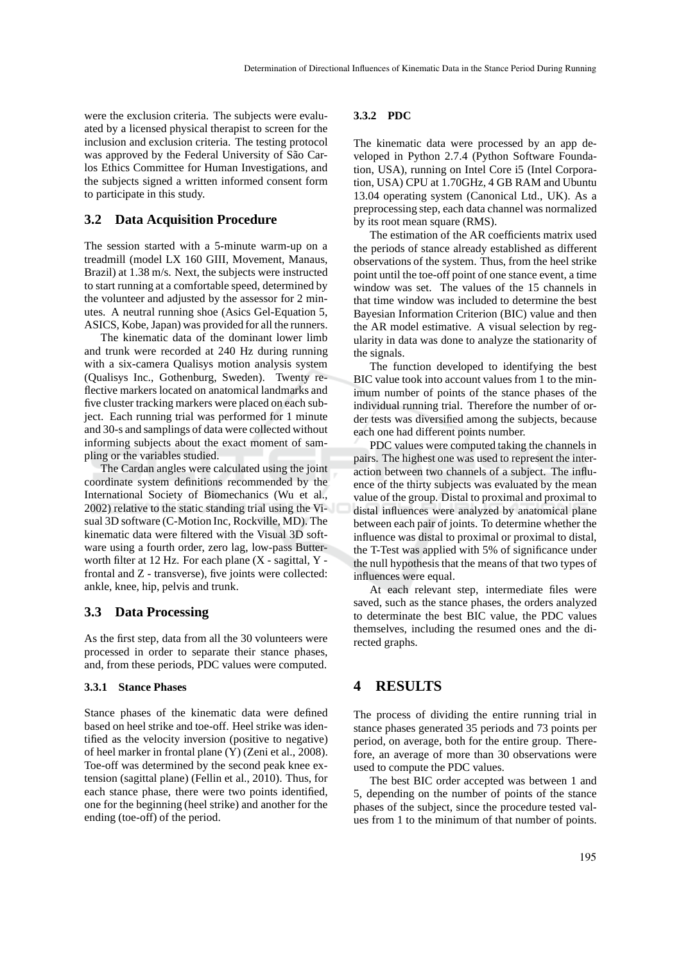were the exclusion criteria. The subjects were evaluated by a licensed physical therapist to screen for the inclusion and exclusion criteria. The testing protocol was approved by the Federal University of São Carlos Ethics Committee for Human Investigations, and the subjects signed a written informed consent form to participate in this study.

### **3.2 Data Acquisition Procedure**

The session started with a 5-minute warm-up on a treadmill (model LX 160 GIII, Movement, Manaus, Brazil) at 1.38 m/s. Next, the subjects were instructed to start running at a comfortable speed, determined by the volunteer and adjusted by the assessor for 2 minutes. A neutral running shoe (Asics Gel-Equation 5, ASICS, Kobe, Japan) was provided for all the runners.

The kinematic data of the dominant lower limb and trunk were recorded at 240 Hz during running with a six-camera Qualisys motion analysis system (Qualisys Inc., Gothenburg, Sweden). Twenty reflective markers located on anatomical landmarks and five cluster tracking markers were placed on each subject. Each running trial was performed for 1 minute and 30-s and samplings of data were collected without informing subjects about the exact moment of sampling or the variables studied.

The Cardan angles were calculated using the joint coordinate system definitions recommended by the International Society of Biomechanics (Wu et al., 2002) relative to the static standing trial using the Visual 3D software (C-Motion Inc, Rockville, MD). The kinematic data were filtered with the Visual 3D software using a fourth order, zero lag, low-pass Butterworth filter at 12 Hz. For each plane (X - sagittal, Y frontal and Z - transverse), five joints were collected: ankle, knee, hip, pelvis and trunk.

### **3.3 Data Processing**

As the first step, data from all the 30 volunteers were processed in order to separate their stance phases, and, from these periods, PDC values were computed.

#### **3.3.1 Stance Phases**

Stance phases of the kinematic data were defined based on heel strike and toe-off. Heel strike was identified as the velocity inversion (positive to negative) of heel marker in frontal plane (Y) (Zeni et al., 2008). Toe-off was determined by the second peak knee extension (sagittal plane) (Fellin et al., 2010). Thus, for each stance phase, there were two points identified, one for the beginning (heel strike) and another for the ending (toe-off) of the period.

#### **3.3.2 PDC**

The kinematic data were processed by an app developed in Python 2.7.4 (Python Software Foundation, USA), running on Intel Core i5 (Intel Corporation, USA) CPU at 1.70GHz, 4 GB RAM and Ubuntu 13.04 operating system (Canonical Ltd., UK). As a preprocessing step, each data channel was normalized by its root mean square (RMS).

The estimation of the AR coefficients matrix used the periods of stance already established as different observations of the system. Thus, from the heel strike point until the toe-off point of one stance event, a time window was set. The values of the 15 channels in that time window was included to determine the best Bayesian Information Criterion (BIC) value and then the AR model estimative. A visual selection by regularity in data was done to analyze the stationarity of the signals.

The function developed to identifying the best BIC value took into account values from 1 to the minimum number of points of the stance phases of the individual running trial. Therefore the number of order tests was diversified among the subjects, because each one had different points number.

PDC values were computed taking the channels in pairs. The highest one was used to represent the interaction between two channels of a subject. The influence of the thirty subjects was evaluated by the mean value of the group. Distal to proximal and proximal to distal influences were analyzed by anatomical plane between each pair of joints. To determine whether the influence was distal to proximal or proximal to distal, the T-Test was applied with 5% of significance under the null hypothesis that the means of that two types of influences were equal.

At each relevant step, intermediate files were saved, such as the stance phases, the orders analyzed to determinate the best BIC value, the PDC values themselves, including the resumed ones and the directed graphs.

### **4 RESULTS**

The process of dividing the entire running trial in stance phases generated 35 periods and 73 points per period, on average, both for the entire group. Therefore, an average of more than 30 observations were used to compute the PDC values.

The best BIC order accepted was between 1 and 5, depending on the number of points of the stance phases of the subject, since the procedure tested values from 1 to the minimum of that number of points.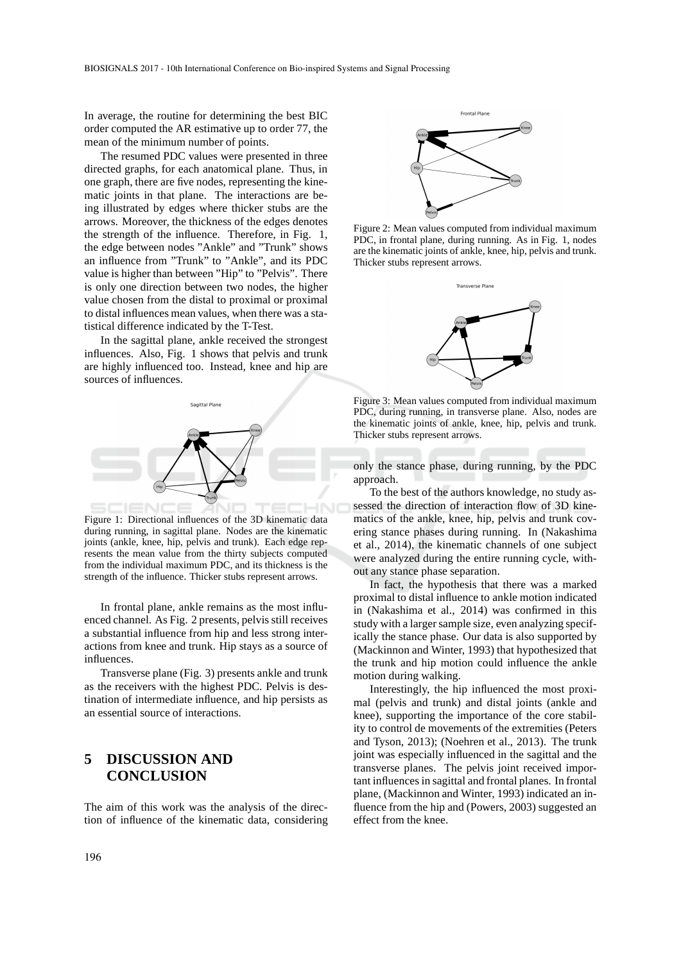In average, the routine for determining the best BIC order computed the AR estimative up to order 77, the mean of the minimum number of points.

The resumed PDC values were presented in three directed graphs, for each anatomical plane. Thus, in one graph, there are five nodes, representing the kinematic joints in that plane. The interactions are being illustrated by edges where thicker stubs are the arrows. Moreover, the thickness of the edges denotes the strength of the influence. Therefore, in Fig. 1, the edge between nodes "Ankle" and "Trunk" shows an influence from "Trunk" to "Ankle", and its PDC value is higher than between "Hip" to "Pelvis". There is only one direction between two nodes, the higher value chosen from the distal to proximal or proximal to distal influences mean values, when there was a statistical difference indicated by the T-Test.

In the sagittal plane, ankle received the strongest influences. Also, Fig. 1 shows that pelvis and trunk are highly influenced too. Instead, knee and hip are sources of influences.



Figure 1: Directional influences of the 3D kinematic data during running, in sagittal plane. Nodes are the kinematic joints (ankle, knee, hip, pelvis and trunk). Each edge represents the mean value from the thirty subjects computed from the individual maximum PDC, and its thickness is the strength of the influence. Thicker stubs represent arrows.

In frontal plane, ankle remains as the most influenced channel. As Fig. 2 presents, pelvis still receives a substantial influence from hip and less strong interactions from knee and trunk. Hip stays as a source of influences.

Transverse plane (Fig. 3) presents ankle and trunk as the receivers with the highest PDC. Pelvis is destination of intermediate influence, and hip persists as an essential source of interactions.

## **5 DISCUSSION AND CONCLUSION**

The aim of this work was the analysis of the direction of influence of the kinematic data, considering



Figure 2: Mean values computed from individual maximum PDC, in frontal plane, during running. As in Fig. 1, nodes are the kinematic joints of ankle, knee, hip, pelvis and trunk. Thicker stubs represent arrows.



Figure 3: Mean values computed from individual maximum PDC, during running, in transverse plane. Also, nodes are the kinematic joints of ankle, knee, hip, pelvis and trunk. Thicker stubs represent arrows.

only the stance phase, during running, by the PDC approach.

To the best of the authors knowledge, no study assessed the direction of interaction flow of 3D kinematics of the ankle, knee, hip, pelvis and trunk covering stance phases during running. In (Nakashima et al., 2014), the kinematic channels of one subject were analyzed during the entire running cycle, without any stance phase separation.

In fact, the hypothesis that there was a marked proximal to distal influence to ankle motion indicated in (Nakashima et al., 2014) was confirmed in this study with a larger sample size, even analyzing specifically the stance phase. Our data is also supported by (Mackinnon and Winter, 1993) that hypothesized that the trunk and hip motion could influence the ankle motion during walking.

Interestingly, the hip influenced the most proximal (pelvis and trunk) and distal joints (ankle and knee), supporting the importance of the core stability to control de movements of the extremities (Peters and Tyson, 2013); (Noehren et al., 2013). The trunk joint was especially influenced in the sagittal and the transverse planes. The pelvis joint received important influences in sagittal and frontal planes. In frontal plane, (Mackinnon and Winter, 1993) indicated an influence from the hip and (Powers, 2003) suggested an effect from the knee.